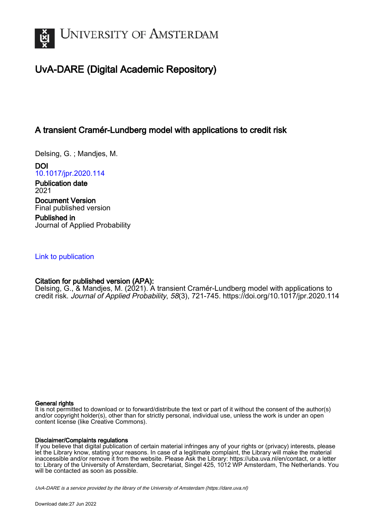

# UvA-DARE (Digital Academic Repository)

# A transient Cramér-Lundberg model with applications to credit risk

Delsing, G. ; Mandjes, M.

DOI [10.1017/jpr.2020.114](https://doi.org/10.1017/jpr.2020.114)

Publication date 2021 Document Version Final published version

Published in Journal of Applied Probability

# [Link to publication](https://dare.uva.nl/personal/pure/en/publications/a-transient-cramerlundberg-model-with-applications-to-credit-risk(6591dc87-e103-49d0-995a-0678711eb895).html)

# Citation for published version (APA):

Delsing, G., & Mandjes, M. (2021). A transient Cramér-Lundberg model with applications to credit risk. Journal of Applied Probability, 58(3), 721-745.<https://doi.org/10.1017/jpr.2020.114>

### General rights

It is not permitted to download or to forward/distribute the text or part of it without the consent of the author(s) and/or copyright holder(s), other than for strictly personal, individual use, unless the work is under an open content license (like Creative Commons).

## Disclaimer/Complaints regulations

If you believe that digital publication of certain material infringes any of your rights or (privacy) interests, please let the Library know, stating your reasons. In case of a legitimate complaint, the Library will make the material inaccessible and/or remove it from the website. Please Ask the Library: https://uba.uva.nl/en/contact, or a letter to: Library of the University of Amsterdam, Secretariat, Singel 425, 1012 WP Amsterdam, The Netherlands. You will be contacted as soon as possible.

UvA-DARE is a service provided by the library of the University of Amsterdam (http*s*://dare.uva.nl)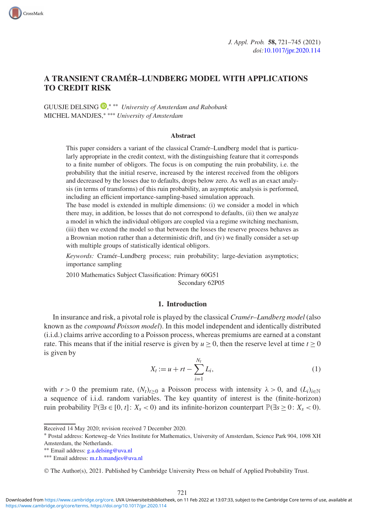

# **A TRANSIENT CRAMÉR–LUNDBERG MODEL WITH APPLICATIONS TO CREDIT RISK**

GUUSJE DELSING [,](https://orcid.org/0000-0002-8002-0356) ∗ ∗∗ *University of Amsterdam and Rabobank* MICHEL MANDJES,∗ ∗∗∗ *University of Amsterdam*

CrossMark

#### **Abstract**

This paper considers a variant of the classical Cramér–Lundberg model that is particularly appropriate in the credit context, with the distinguishing feature that it corresponds to a finite number of obligors. The focus is on computing the ruin probability, i.e. the probability that the initial reserve, increased by the interest received from the obligors and decreased by the losses due to defaults, drops below zero. As well as an exact analysis (in terms of transforms) of this ruin probability, an asymptotic analysis is performed, including an efficient importance-sampling-based simulation approach.

The base model is extended in multiple dimensions: (i) we consider a model in which there may, in addition, be losses that do not correspond to defaults, (ii) then we analyze a model in which the individual obligors are coupled via a regime switching mechanism, (iii) then we extend the model so that between the losses the reserve process behaves as a Brownian motion rather than a deterministic drift, and (iv) we finally consider a set-up with multiple groups of statistically identical obligors.

*Keywords:* Cramér–Lundberg process; ruin probability; large-deviation asymptotics; importance sampling

2010 Mathematics Subject Classification: Primary 60G51 Secondary 62P05

#### **1. Introduction**

In insurance and risk, a pivotal role is played by the classical *Cramér–Lundberg model* (also known as the *compound Poisson model*). In this model independent and identically distributed (i.i.d.) claims arrive according to a Poisson process, whereas premiums are earned at a constant rate. This means that if the initial reserve is given by  $u > 0$ , then the reserve level at time  $t > 0$ is given by

$$
X_t := u + rt - \sum_{i=1}^{N_t} L_i,
$$
\n(1)

<span id="page-1-0"></span>with  $r > 0$  the premium rate,  $(N_t)_{t>0}$  a Poisson process with intensity  $\lambda > 0$ , and  $(L_i)_{i\in\mathbb{N}}$ a sequence of i.i.d. random variables. The key quantity of interest is the (finite-horizon) ruin probability  $\mathbb{P}(\exists s \in [0, t]: X_s < 0)$  and its infinite-horizon counterpart  $\mathbb{P}(\exists s \geq 0: X_s < 0)$ .

Received 14 May 2020; revision received 7 December 2020.

<sup>∗</sup> Postal address: Korteweg–de Vries Institute for Mathematics, University of Amsterdam, Science Park 904, 1098 XH Amsterdam, the Netherlands.

<sup>∗∗</sup> Email address: g.a.delsing@uva.nl ∗∗∗ Email address: m.r.h.mandjes@uva.nl

<sup>©</sup> The Author(s), 2021. Published by Cambridge University Press on behalf of Applied Probability Trust.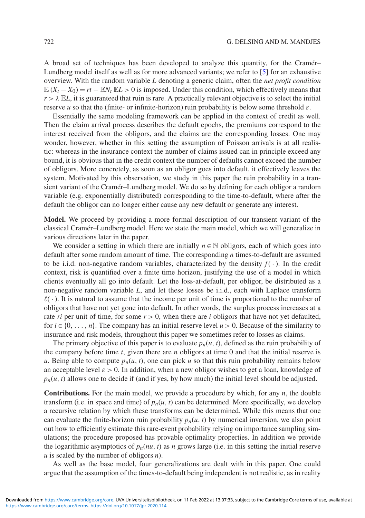A broad set of techniques has been developed to analyze this quantity, for the Cramér– Lundberg model itself as well as for more advanced variants; we refer to [\[5\]](#page-25-0) for an exhaustive overview. With the random variable *L* denoting a generic claim, often the *net profit condition*  $E(X_t - X_0) = rt - E(Y_t E L > 0$  is imposed. Under this condition, which effectively means that  $r > \lambda$  EL, it is guaranteed that ruin is rare. A practically relevant objective is to select the initial reserve *u* so that the (finite- or infinite-horizon) ruin probability is below some threshold  $\varepsilon$ .

Essentially the same modeling framework can be applied in the context of credit as well. Then the claim arrival process describes the default epochs, the premiums correspond to the interest received from the obligors, and the claims are the corresponding losses. One may wonder, however, whether in this setting the assumption of Poisson arrivals is at all realistic: whereas in the insurance context the number of claims issued can in principle exceed any bound, it is obvious that in the credit context the number of defaults cannot exceed the number of obligors. More concretely, as soon as an obligor goes into default, it effectively leaves the system. Motivated by this observation, we study in this paper the ruin probability in a transient variant of the Cramér–Lundberg model. We do so by defining for each obligor a random variable (e.g. exponentially distributed) corresponding to the time-to-default, where after the default the obligor can no longer either cause any new default or generate any interest.

**Model.** We proceed by providing a more formal description of our transient variant of the classical Cramér–Lundberg model. Here we state the main model, which we will generalize in various directions later in the paper.

We consider a setting in which there are initially  $n \in \mathbb{N}$  obligors, each of which goes into default after some random amount of time. The corresponding *n* times-to-default are assumed to be i.i.d. non-negative random variables, characterized by the density  $f(\cdot)$ . In the credit context, risk is quantified over a finite time horizon, justifying the use of a model in which clients eventually all go into default. Let the loss-at-default, per obligor, be distributed as a non-negative random variable *L*, and let these losses be i.i.d., each with Laplace transform  $\ell(\cdot)$ . It is natural to assume that the income per unit of time is proportional to the number of obligors that have not yet gone into default. In other words, the surplus process increases at a rate *ri* per unit of time, for some  $r > 0$ , when there are *i* obligors that have not vet defaulted, for  $i \in \{0, \ldots, n\}$ . The company has an initial reserve level  $u > 0$ . Because of the similarity to insurance and risk models, throughout this paper we sometimes refer to losses as claims.

The primary objective of this paper is to evaluate  $p_n(u, t)$ , defined as the ruin probability of the company before time *t*, given there are *n* obligors at time 0 and that the initial reserve is *u*. Being able to compute  $p_n(u, t)$ , one can pick *u* so that this ruin probability remains below an acceptable level  $\varepsilon > 0$ . In addition, when a new obligor wishes to get a loan, knowledge of  $p_n(u, t)$  allows one to decide if (and if yes, by how much) the initial level should be adjusted.

**Contributions.** For the main model, we provide a procedure by which, for any *n*, the double transform (i.e. in space and time) of  $p_n(u, t)$  can be determined. More specifically, we develop a recursive relation by which these transforms can be determined. While this means that one can evaluate the finite-horizon ruin probability  $p_n(u, t)$  by numerical inversion, we also point out how to efficiently estimate this rare-event probability relying on importance sampling simulations; the procedure proposed has provable optimality properties. In addition we provide the logarithmic asymptotics of  $p_n(nu, t)$  as *n* grows large (i.e. in this setting the initial reserve *u* is scaled by the number of obligors *n*).

As well as the base model, four generalizations are dealt with in this paper. One could argue that the assumption of the times-to-default being independent is not realistic, as in reality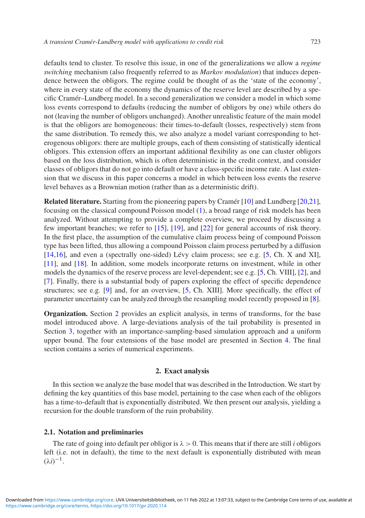defaults tend to cluster. To resolve this issue, in one of the generalizations we allow a *regime switching* mechanism (also frequently referred to as *Markov modulation*) that induces dependence between the obligors. The regime could be thought of as the 'state of the economy', where in every state of the economy the dynamics of the reserve level are described by a specific Cramér–Lundberg model. In a second generalization we consider a model in which some loss events correspond to defaults (reducing the number of obligors by one) while others do not (leaving the number of obligors unchanged). Another unrealistic feature of the main model is that the obligors are homogeneous: their times-to-default (losses, respectively) stem from the same distribution. To remedy this, we also analyze a model variant corresponding to heterogenous obligors: there are multiple groups, each of them consisting of statistically identical obligors. This extension offers an important additional flexibility as one can cluster obligors based on the loss distribution, which is often deterministic in the credit context, and consider classes of obligors that do not go into default or have a class-specific income rate. A last extension that we discuss in this paper concerns a model in which between loss events the reserve level behaves as a Brownian motion (rather than as a deterministic drift).

**Related literature.** Starting from the pioneering papers by Cramér [\[10\]](#page-25-1) and Lundberg [\[20](#page-25-2)[,21\]](#page-25-3), focusing on the classical compound Poisson model [\(1\)](#page-1-0), a broad range of risk models has been analyzed. Without attempting to provide a complete overview, we proceed by discussing a few important branches; we refer to [\[15\]](#page-25-4), [\[19\]](#page-25-5), and [\[22\]](#page-25-6) for general accounts of risk theory. In the first place, the assumption of the cumulative claim process being of compound Poisson type has been lifted, thus allowing a compound Poisson claim process perturbed by a diffusion [\[14](#page-25-7)[,16\]](#page-25-8), and even a (spectrally one-sided) Lévy claim process; see e.g. [\[5,](#page-25-0) Ch. X and XI], [\[11\]](#page-25-9), and [\[18\]](#page-25-10). In addition, some models incorporate returns on investment, while in other models the dynamics of the reserve process are level-dependent; see e.g. [\[5,](#page-25-0) Ch. VIII], [\[2\]](#page-25-11), and [\[7\]](#page-25-12). Finally, there is a substantial body of papers exploring the effect of specific dependence structures; see e.g. [\[9\]](#page-25-13) and, for an overview, [\[5,](#page-25-0) Ch. XIII]. More specifically, the effect of parameter uncertainty can be analyzed through the resampling model recently proposed in [\[8\]](#page-25-14).

**Organization.** Section [2](#page-3-0) provides an explicit analysis, in terms of transforms, for the base model introduced above. A large-deviations analysis of the tail probability is presented in Section [3,](#page-7-0) together with an importance-sampling-based simulation approach and a uniform upper bound. The four extensions of the base model are presented in Section [4.](#page-13-0) The final section contains a series of numerical experiments.

#### **2. Exact analysis**

<span id="page-3-0"></span>In this section we analyze the base model that was described in the Introduction. We start by defining the key quantities of this base model, pertaining to the case when each of the obligors has a time-to-default that is exponentially distributed. We then present our analysis, yielding a recursion for the double transform of the ruin probability.

#### **2.1. Notation and preliminaries**

The rate of going into default per obligor is  $\lambda > 0$ . This means that if there are still *i* obligors left (i.e. not in default), the time to the next default is exponentially distributed with mean  $(\lambda i)^{-1}$ .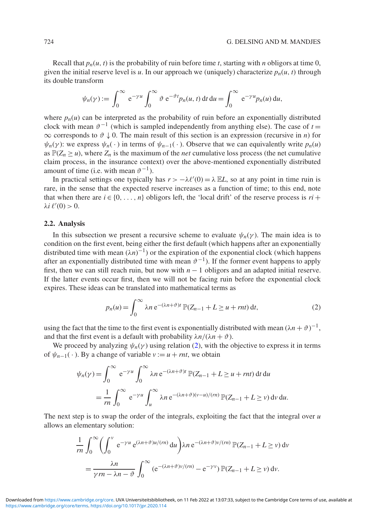Recall that  $p_n(u, t)$  is the probability of ruin before time *t*, starting with *n* obligors at time 0, given the initial reserve level is *u*. In our approach we (uniquely) characterize  $p_n(u, t)$  through its double transform

$$
\psi_n(\gamma) := \int_0^\infty e^{-\gamma u} \int_0^\infty \vartheta e^{-\vartheta t} p_n(u,t) dt du = \int_0^\infty e^{-\gamma u} p_n(u) du,
$$

where  $p_n(u)$  can be interpreted as the probability of ruin before an exponentially distributed clock with mean  $\vartheta^{-1}$  (which is sampled independently from anything else). The case of  $t =$  $\infty$  corresponds to  $\vartheta \downarrow 0$ . The main result of this section is an expression (recursive in *n*) for  $\psi_n(\gamma)$ : we express  $\psi_n(\cdot)$  in terms of  $\psi_{n-1}(\cdot)$ . Observe that we can equivalently write  $p_n(u)$ as  $\mathbb{P}(Z_n \ge u)$ , where  $Z_n$  is the maximum of the *net* cumulative loss process (the net cumulative claim process, in the insurance context) over the above-mentioned exponentially distributed amount of time (i.e. with mean  $\vartheta^{-1}$ ).

In practical settings one typically has  $r > -\lambda \ell'(0) = \lambda \mathbb{E} L$ , so at any point in time ruin is rare, in the sense that the expected reserve increases as a function of time; to this end, note that when there are  $i \in \{0, \ldots, n\}$  obligors left, the 'local drift' of the reserve process is  $ri +$  $\lambda$ *i*  $\ell'(0) > 0$ .

#### <span id="page-4-1"></span>**2.2. Analysis**

In this subsection we present a recursive scheme to evaluate  $\psi_n(\gamma)$ . The main idea is to condition on the first event, being either the first default (which happens after an exponentially distributed time with mean  $(\lambda n)^{-1}$ ) or the expiration of the exponential clock (which happens after an exponentially distributed time with mean  $\vartheta^{-1}$ ). If the former event happens to apply first, then we can still reach ruin, but now with  $n - 1$  obligors and an adapted initial reserve. If the latter events occur first, then we will not be facing ruin before the exponential clock expires. These ideas can be translated into mathematical terms as

<span id="page-4-0"></span>
$$
p_n(u) = \int_0^\infty \lambda n e^{-(\lambda n + \vartheta)t} \mathbb{P}(Z_{n-1} + L \ge u + rnt) dt,
$$
 (2)

using the fact that the time to the first event is exponentially distributed with mean  $(\lambda n + \vartheta)^{-1}$ , and that the first event is a default with probability  $\lambda n/(\lambda n + \vartheta)$ .

We proceed by analyzing  $\psi_n(\gamma)$  using relation [\(2\)](#page-4-0), with the objective to express it in terms of  $\psi_{n-1}(\cdot)$ . By a change of variable  $v := u + rnt$ , we obtain

$$
\psi_n(\gamma) = \int_0^\infty e^{-\gamma u} \int_0^\infty \lambda n e^{-(\lambda n + \vartheta)t} \mathbb{P}(Z_{n-1} + L \ge u + rnt) dt du
$$
  
= 
$$
\frac{1}{rn} \int_0^\infty e^{-\gamma u} \int_u^\infty \lambda n e^{-(\lambda n + \vartheta)(\nu - u)/(rn)} \mathbb{P}(Z_{n-1} + L \ge \nu) dv du.
$$

The next step is to swap the order of the integrals, exploiting the fact that the integral over *u* allows an elementary solution:

$$
\frac{1}{rn} \int_0^\infty \left( \int_0^v e^{-\gamma u} e^{(\lambda n + \vartheta)u/(rn)} du \right) \lambda n e^{-(\lambda n + \vartheta)v/(rn)} \mathbb{P}(Z_{n-1} + L \ge v) dv
$$

$$
= \frac{\lambda n}{\gamma rn - \lambda n - \vartheta} \int_0^\infty (e^{-(\lambda n + \vartheta)v/(rn)} - e^{-\gamma v}) \mathbb{P}(Z_{n-1} + L \ge v) dv.
$$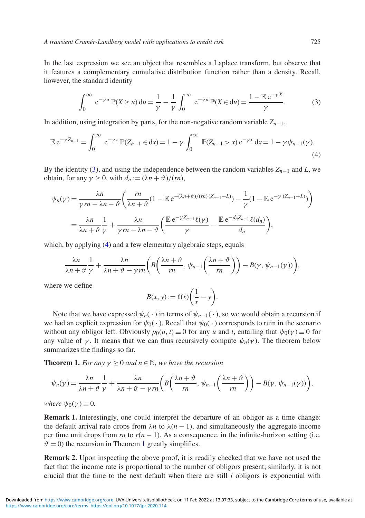In the last expression we see an object that resembles a Laplace transform, but observe that it features a complementary cumulative distribution function rather than a density. Recall, however, the standard identity

<span id="page-5-1"></span><span id="page-5-0"></span>
$$
\int_0^\infty e^{-\gamma u} \mathbb{P}(X \ge u) du = \frac{1}{\gamma} - \frac{1}{\gamma} \int_0^\infty e^{-\gamma u} \mathbb{P}(X \in du) = \frac{1 - \mathbb{E} e^{-\gamma X}}{\gamma}.
$$
 (3)

In addition, using integration by parts, for the non-negative random variable  $Z_{n-1}$ ,

$$
\mathbb{E} e^{-\gamma Z_{n-1}} = \int_0^\infty e^{-\gamma x} \mathbb{P}(Z_{n-1} \in dx) = 1 - \gamma \int_0^\infty \mathbb{P}(Z_{n-1} > x) e^{-\gamma x} dx = 1 - \gamma \psi_{n-1}(\gamma).
$$
\n(4)

By the identity [\(3\)](#page-5-0), and using the independence between the random variables  $Z_{n-1}$  and  $L$ , we obtain, for any  $\gamma \geq 0$ , with  $d_n := (\lambda n + \vartheta)/(rn)$ ,

$$
\psi_n(\gamma) = \frac{\lambda n}{\gamma rn - \lambda n - \vartheta} \left( \frac{rn}{\lambda n + \vartheta} (1 - \mathbb{E} e^{-(\lambda n + \vartheta)/(rn)(Z_{n-1} + L)}) - \frac{1}{\gamma} (1 - \mathbb{E} e^{-\gamma (Z_{n-1} + L)}) \right)
$$

$$
= \frac{\lambda n}{\lambda n + \vartheta} \frac{1}{\gamma} + \frac{\lambda n}{\gamma rn - \lambda n - \vartheta} \left( \frac{\mathbb{E} e^{-\gamma Z_{n-1}} \ell(\gamma)}{\gamma} - \frac{\mathbb{E} e^{-d_n Z_{n-1}} \ell(d_n)}{d_n} \right),
$$

which, by applying [\(4\)](#page-5-1) and a few elementary algebraic steps, equals

$$
\frac{\lambda n}{\lambda n + \vartheta} \frac{1}{\gamma} + \frac{\lambda n}{\lambda n + \vartheta - \gamma rn} \bigg( B\bigg( \frac{\lambda n + \vartheta}{rn}, \psi_{n-1} \bigg( \frac{\lambda n + \vartheta}{rn} \bigg) \bigg) - B(\gamma, \psi_{n-1}(\gamma)) \bigg),
$$

where we define

$$
B(x, y) := \ell(x) \bigg( \frac{1}{x} - y \bigg).
$$

Note that we have expressed  $\psi_n(\cdot)$  in terms of  $\psi_{n-1}(\cdot)$ , so we would obtain a recursion if we had an explicit expression for  $\psi_0(\cdot)$ . Recall that  $\psi_0(\cdot)$  corresponds to ruin in the scenario without any obligor left. Obviously  $p_0(u, t) \equiv 0$  for any *u* and *t*, entailing that  $\psi_0(\gamma) \equiv 0$  for any value of  $\gamma$ . It means that we can thus recursively compute  $\psi_n(\gamma)$ . The theorem below summarizes the findings so far.

<span id="page-5-2"></span>**Theorem 1.** *For any*  $\gamma \geq 0$  *and*  $n \in \mathbb{N}$ *, we have the recursion* 

$$
\psi_n(\gamma) = \frac{\lambda n}{\lambda n + \vartheta} \frac{1}{\gamma} + \frac{\lambda n}{\lambda n + \vartheta - \gamma rn} \left( B\left(\frac{\lambda n + \vartheta}{n}, \psi_{n-1}\left(\frac{\lambda n + \vartheta}{n}\right)\right) - B(\gamma, \psi_{n-1}(\gamma)) \right),
$$

*where*  $\psi_0(\gamma) \equiv 0$ .

**Remark 1.** Interestingly, one could interpret the departure of an obligor as a time change: the default arrival rate drops from  $\lambda n$  to  $\lambda (n - 1)$ , and simultaneously the aggregate income per time unit drops from  $rn$  to  $r(n-1)$ . As a consequence, in the infinite-horizon setting (i.e.  $\vartheta = 0$ ) the recursion in Theorem [1](#page-5-2) greatly simplifies.

<span id="page-5-3"></span>**Remark 2.** Upon inspecting the above proof, it is readily checked that we have not used the fact that the income rate is proportional to the number of obligors present; similarly, it is not crucial that the time to the next default when there are still *i* obligors is exponential with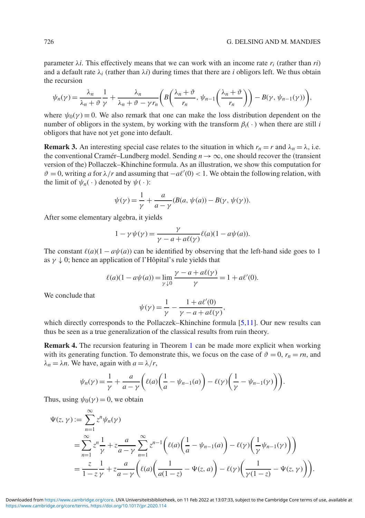parameter  $\lambda i$ . This effectively means that we can work with an income rate  $r_i$  (rather than  $ri$ ) and a default rate  $\lambda_i$  (rather than  $\lambda_i$ ) during times that there are *i* obligors left. We thus obtain the recursion

$$
\psi_n(\gamma) = \frac{\lambda_n}{\lambda_n + \vartheta} \frac{1}{\gamma} + \frac{\lambda_n}{\lambda_n + \vartheta - \gamma r_n} \left( B\left(\frac{\lambda_n + \vartheta}{r_n}, \psi_{n-1}\left(\frac{\lambda_n + \vartheta}{r_n}\right)\right) - B(\gamma, \psi_{n-1}(\gamma)) \right),
$$

where  $\psi_0(\gamma) \equiv 0$ . We also remark that one can make the loss distribution dependent on the number of obligors in the system, by working with the transform  $\beta_i(\cdot)$  when there are still *i* obligors that have not yet gone into default.

<span id="page-6-0"></span>**Remark 3.** An interesting special case relates to the situation in which  $r_n = r$  and  $\lambda_n = \lambda$ , i.e. the conventional Cramér–Lundberg model. Sending  $n \to \infty$ , one should recover the (transient version of the) Pollaczek–Khinchine formula. As an illustration, we show this computation for  $\vartheta = 0$ , writing *a* for  $\lambda/r$  and assuming that  $-a\ell'(0) < 1$ . We obtain the following relation, with the limit of  $\psi_n(\cdot)$  denoted by  $\psi(\cdot)$ :

$$
\psi(\gamma) = \frac{1}{\gamma} + \frac{a}{a - \gamma} (B(a, \psi(a)) - B(\gamma, \psi(\gamma)).
$$

After some elementary algebra, it yields

$$
1 - \gamma \psi(\gamma) = \frac{\gamma}{\gamma - a + a\ell(\gamma)} \ell(a)(1 - a\psi(a)).
$$

The constant  $\ell(a)(1 - a\psi(a))$  can be identified by observing that the left-hand side goes to 1 as  $\gamma \downarrow 0$ ; hence an application of l'Hôpital's rule yields that

$$
\ell(a)(1 - a\psi(a)) = \lim_{\gamma \downarrow 0} \frac{\gamma - a + a\ell(\gamma)}{\gamma} = 1 + a\ell'(0).
$$

We conclude that

$$
\psi(\gamma) = \frac{1}{\gamma} - \frac{1 + a\ell'(0)}{\gamma - a + a\ell(\gamma)},
$$

which directly corresponds to the Pollaczek–Khinchine formula [\[5](#page-25-0)[,11\]](#page-25-9). Our new results can thus be seen as a true generalization of the classical results from ruin theory.

**Remark 4.** The recursion featuring in Theorem [1](#page-5-2) can be made more explicit when working with its generating function. To demonstrate this, we focus on the case of  $\vartheta = 0$ ,  $r_n = rn$ , and  $\lambda_n = \lambda n$ . We have, again with  $a = \lambda/r$ ,

$$
\psi_n(\gamma) = \frac{1}{\gamma} + \frac{a}{a - \gamma} \left( \ell(a) \left( \frac{1}{a} - \psi_{n-1}(a) \right) - \ell(\gamma) \left( \frac{1}{\gamma} - \psi_{n-1}(\gamma) \right) \right).
$$

Thus, using  $\psi_0(\gamma) = 0$ , we obtain

$$
\Psi(z, \gamma) := \sum_{n=1}^{\infty} z^n \psi_n(\gamma)
$$
  
= 
$$
\sum_{n=1}^{\infty} z^n \frac{1}{\gamma} + z \frac{a}{a - \gamma} \sum_{n=1}^{\infty} z^{n-1} \left( \ell(a) \left( \frac{1}{a} - \psi_{n-1}(a) \right) - \ell(\gamma) \left( \frac{1}{\gamma} \psi_{n-1}(\gamma) \right) \right)
$$
  
= 
$$
\frac{z}{1 - z} \frac{1}{\gamma} + z \frac{a}{a - \gamma} \left( \ell(a) \left( \frac{1}{a(1 - z)} - \Psi(z, a) \right) - \ell(\gamma) \left( \frac{1}{\gamma(1 - z)} - \Psi(z, \gamma) \right) \right).
$$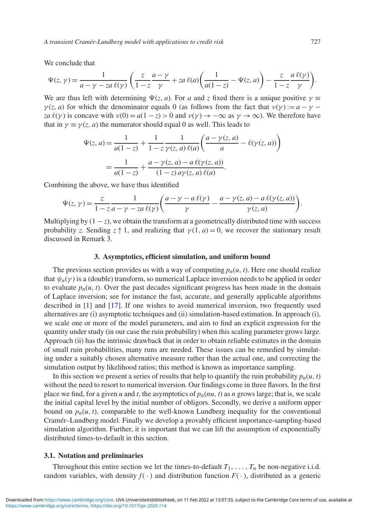We conclude that

$$
\Psi(z,\gamma) = \frac{1}{a-\gamma - za\,\ell(\gamma)} \left( \frac{z}{1-z} \frac{a-\gamma}{\gamma} + za\,\ell(a) \left( \frac{1}{a(1-z)} - \Psi(z,a) \right) - \frac{z}{1-z} \frac{a\,\ell(\gamma)}{\gamma} \right).
$$

We are thus left with determining  $\Psi(z, a)$ . For *a* and *z* fixed there is a unique positive  $\gamma \equiv$  $\gamma(z, a)$  for which the denominator equals 0 (as follows from the fact that  $\nu(\gamma) := a - \gamma$ *za*  $\ell(\gamma)$  is concave with  $\nu(0) = a(1 - z) > 0$  and  $\nu(\gamma) \rightarrow -\infty$  as  $\gamma \rightarrow \infty$ ). We therefore have that in  $\gamma \equiv \gamma(z, a)$  the numerator should equal 0 as well. This leads to

$$
\Psi(z, a) = \frac{1}{a(1-z)} + \frac{1}{1-z} \frac{1}{\gamma(z, a) \ell(a)} \left( \frac{a - \gamma(z, a)}{a} - \ell(\gamma(z, a)) \right)
$$

$$
= \frac{1}{a(1-z)} + \frac{a - \gamma(z, a) - a \ell(\gamma(z, a))}{(1-z) a \gamma(z, a) \ell(a)}.
$$

Combining the above, we have thus identified

$$
\Psi(z,\gamma) = \frac{z}{1-z} \frac{1}{a-\gamma - za\,\ell(\gamma)} \bigg( \frac{a-\gamma - a\,\ell(\gamma)}{\gamma} - \frac{a-\gamma(z,a)-a\,\ell(\gamma(z,a))}{\gamma(z,a)} \bigg).
$$

Multiplying by  $(1 - z)$ , we obtain the transform at a geometrically distributed time with success probability *z*. Sending  $z \uparrow 1$ , and realizing that  $\gamma(1, a) = 0$ , we recover the stationary result discussed in Remark [3.](#page-6-0)

#### **3. Asymptotics, efficient simulation, and uniform bound**

<span id="page-7-0"></span>The previous section provides us with a way of computing  $p_n(u, t)$ . Here one should realize that  $\psi_n(\gamma)$  is a (double) transform, so numerical Laplace inversion needs to be applied in order to evaluate  $p_n(u, t)$ . Over the past decades significant progress has been made in the domain of Laplace inversion; see for instance the fast, accurate, and generally applicable algorithms described in [\[1\]](#page-25-15) and [\[17\]](#page-25-16). If one wishes to avoid numerical inversion, two frequently used alternatives are (i) asymptotic techniques and (ii) simulation-based estimation. In approach (i), we scale one or more of the model parameters, and aim to find an explicit expression for the quantity under study (in our case the ruin probability) when this scaling parameter grows large. Approach (ii) has the intrinsic drawback that in order to obtain reliable estimates in the domain of small ruin probabilities, many runs are needed. These issues can be remedied by simulating under a suitably chosen alternative measure rather than the actual one, and correcting the simulation output by likelihood ratios; this method is known as importance sampling.

In this section we present a series of results that help to quantify the ruin probability  $p_n(u, t)$ without the need to resort to numerical inversion. Our findings come in three flavors. In the first place we find, for a given *u* and *t*, the asymptotics of  $p_n(nu, t)$  as *n* grows large; that is, we scale the initial capital level by the initial number of obligors. Secondly, we derive a uniform upper bound on  $p_n(u, t)$ , comparable to the well-known Lundberg inequality for the conventional Cramér–Lundberg model. Finally we develop a provably efficient importance-sampling-based simulation algorithm. Further, it is important that we can lift the assumption of exponentially distributed times-to-default in this section.

#### **3.1. Notation and preliminaries**

Throughout this entire section we let the times-to-default  $T_1, \ldots, T_n$  be non-negative i.i.d. random variables, with density  $f(\cdot)$  and distribution function  $F(\cdot)$ , distributed as a generic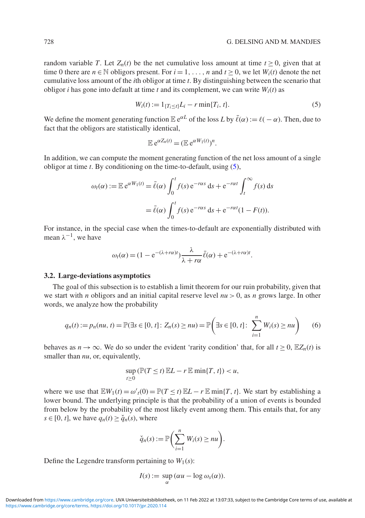random variable *T*. Let  $Z_n(t)$  be the net cumulative loss amount at time  $t > 0$ , given that at time 0 there are  $n \in \mathbb{N}$  obligors present. For  $i = 1, \ldots, n$  and  $t \ge 0$ , we let  $W_i(t)$  denote the net cumulative loss amount of the *i*th obligor at time *t*. By distinguishing between the scenario that obligor *i* has gone into default at time *t* and its complement, we can write  $W_i(t)$  as

$$
W_i(t) := 1_{\{T_i \le t\}} L_i - r \min\{T_i, t\}.
$$
\n(5)

We define the moment generating function  $\mathbb{E} e^{\alpha L}$  of the loss *L* by  $\bar{\ell}(\alpha) := \ell(-\alpha)$ . Then, due to fact that the obligors are statistically identical,

<span id="page-8-0"></span>
$$
\mathbb{E} e^{\alpha Z_n(t)} = (\mathbb{E} e^{\alpha W_1(t)})^n.
$$

In addition, we can compute the moment generating function of the net loss amount of a single obligor at time *t*. By conditioning on the time-to-default, using [\(5\)](#page-8-0),

$$
\omega_t(\alpha) := \mathbb{E} e^{\alpha W_1(t)} = \bar{\ell}(\alpha) \int_0^t f(s) e^{-r\alpha s} ds + e^{-r\alpha t} \int_t^{\infty} f(s) ds
$$

$$
= \bar{\ell}(\alpha) \int_0^t f(s) e^{-r\alpha s} ds + e^{-r\alpha t} (1 - F(t)).
$$

For instance, in the special case when the times-to-default are exponentially distributed with mean  $\lambda^{-1}$ , we have

$$
\omega_t(\alpha) = (1 - e^{-(\lambda + r\alpha)t}) \frac{\lambda}{\lambda + r\alpha} \bar{\ell}(\alpha) + e^{-(\lambda + r\alpha)t}.
$$

#### <span id="page-8-2"></span>**3.2. Large-deviations asymptotics**

The goal of this subsection is to establish a limit theorem for our ruin probability, given that we start with *n* obligors and an initial capital reserve level  $nu > 0$ , as *n* grows large. In other words, we analyze how the probability

$$
q_n(t) := p_n(nu, t) = \mathbb{P}(\exists s \in [0, t]: Z_n(s) \ge nu) = \mathbb{P}\left(\exists s \in [0, t]: \sum_{i=1}^n W_i(s) \ge nu\right) \tag{6}
$$

behaves as  $n \to \infty$ . We do so under the evident 'rarity condition' that, for all  $t \ge 0$ ,  $\mathbb{E}Z_n(t)$  is smaller than *nu*, or, equivalently,

<span id="page-8-1"></span>
$$
\sup_{t\geq 0} (\mathbb{P}(T\leq t)\mathbb{E}L-r\mathbb{E}\min\{T,t\})< u,
$$

where we use that  $\mathbb{E}W_1(t) = \omega'_t(0) = \mathbb{P}(T \le t) \mathbb{E}L - r \mathbb{E} \min\{T, t\}$ . We start by establishing a lower bound. The underlying principle is that the probability of a union of events is bounded from below by the probability of the most likely event among them. This entails that, for any  $s \in [0, t]$ , we have  $q_n(t) \ge \check{q}_n(s)$ , where

$$
\check{q}_n(s) := \mathbb{P}\bigg(\sum_{i=1}^n W_i(s) \geq nu\bigg).
$$

Define the Legendre transform pertaining to  $W_1(s)$ :

$$
I(s) := \sup_{\alpha} (\alpha u - \log \omega_s(\alpha)).
$$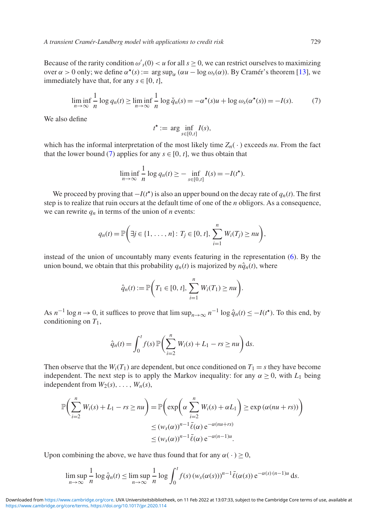Because of the rarity condition  $\omega'_{s}(0) < u$  for all  $s \ge 0$ , we can restrict ourselves to maximizing over  $\alpha > 0$  only; we define  $\alpha^*(s) := \arg \sup_{\alpha} (\alpha u - \log \omega_s(\alpha))$ . By Cramér's theorem [\[13\]](#page-25-17), we immediately have that, for any  $s \in [0, t]$ ,

$$
\liminf_{n \to \infty} \frac{1}{n} \log q_n(t) \ge \liminf_{n \to \infty} \frac{1}{n} \log \check{q}_n(s) = -\alpha^*(s)u + \log \omega_s(\alpha^*(s)) = -I(s). \tag{7}
$$

We also define

<span id="page-9-0"></span>
$$
t^* := \arg\inf_{s \in [0,t]} I(s),
$$

which has the informal interpretation of the most likely time  $Z_n(\cdot)$  exceeds *nu*. From the fact that the lower bound [\(7\)](#page-9-0) applies for any  $s \in [0, t]$ , we thus obtain that

$$
\liminf_{n \to \infty} \frac{1}{n} \log q_n(t) \geq - \inf_{s \in [0, t]} I(s) = -I(t^{\star}).
$$

We proceed by proving that  $-I(t^*)$  is also an upper bound on the decay rate of  $q_n(t)$ . The first step is to realize that ruin occurs at the default time of one of the *n* obligors. As a consequence, we can rewrite  $q_n$  in terms of the union of *n* events:

$$
q_n(t) = \mathbb{P}\bigg(\exists j \in \{1, ..., n\} \colon T_j \in [0, t], \sum_{i=1}^n W_i(T_j) \geq nu\bigg),\,
$$

instead of the union of uncountably many events featuring in the representation [\(6\)](#page-8-1). By the union bound, we obtain that this probability  $q_n(t)$  is majorized by  $n\hat{q}_n(t)$ , where

$$
\hat{q}_n(t) := \mathbb{P}\bigg(T_1 \in [0, t], \sum_{i=1}^n W_i(T_1) \geq nu\bigg).
$$

As  $n^{-1} \log n \to 0$ , it suffices to prove that  $\limsup_{n \to \infty} n^{-1} \log \hat{q}_n(t) \leq -I(t^*)$ . To this end, by conditioning on *T*1,

$$
\hat{q}_n(t) = \int_0^t f(s) \, \mathbb{P}\bigg(\sum_{i=2}^n W_i(s) + L_1 - rs \ge nu\bigg) \, \mathrm{d}s.
$$

Then observe that the  $W_i(T_1)$  are dependent, but once conditioned on  $T_1 = s$  they have become independent. The next step is to apply the Markov inequality: for any  $\alpha \geq 0$ , with  $L_1$  being independent from  $W_2(s), \ldots, W_n(s)$ ,

$$
\mathbb{P}\left(\sum_{i=2}^{n} W_i(s) + L_1 - rs \ge nu\right) = \mathbb{P}\left(\exp\left(\alpha \sum_{i=2}^{n} W_i(s) + \alpha L_1\right) \ge \exp\left(\alpha(nu + rs)\right)\right)
$$
  

$$
\le (w_s(\alpha))^{n-1} \bar{\ell}(\alpha) e^{-\alpha(nu + rs)}
$$
  

$$
\le (w_s(\alpha))^{n-1} \bar{\ell}(\alpha) e^{-\alpha(n-1)u}.
$$

Upon combining the above, we have thus found that for any  $\alpha(\cdot) > 0$ ,

$$
\limsup_{n\to\infty}\frac{1}{n}\log\hat{q}_n(t)\le\limsup_{n\to\infty}\frac{1}{n}\log\int_0^t f(s)\left(w_s(\alpha(s))\right)^{n-1}\bar{\ell}(\alpha(s))\,\mathrm{e}^{-\alpha(s)(n-1)u}\,\mathrm{d} s.
$$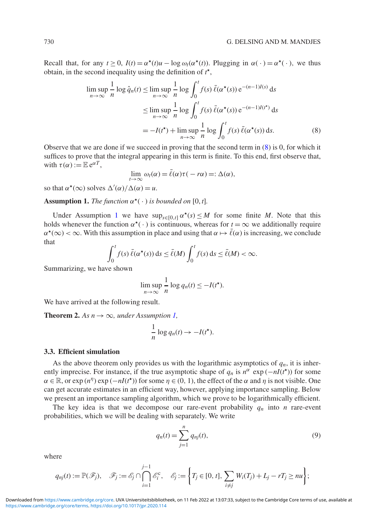Recall that, for any  $t > 0$ ,  $I(t) = \alpha^*(t)u - \log \omega_t(\alpha^*(t))$ . Plugging in  $\alpha(\cdot) = \alpha^*(\cdot)$ , we thus obtain, in the second inequality using the definition of *t* ,

$$
\limsup_{n \to \infty} \frac{1}{n} \log \hat{q}_n(t) \le \limsup_{n \to \infty} \frac{1}{n} \log \int_0^t f(s) \, \bar{\ell}(\alpha^*(s)) \, e^{-(n-1)I(s)} \, ds
$$
\n
$$
\le \limsup_{n \to \infty} \frac{1}{n} \log \int_0^t f(s) \, \bar{\ell}(\alpha^*(s)) \, e^{-(n-1)I(t^*)} \, ds
$$
\n
$$
= -I(t^*) + \limsup_{n \to \infty} \frac{1}{n} \log \int_0^t f(s) \, \bar{\ell}(\alpha^*(s)) \, ds. \tag{8}
$$

Observe that we are done if we succeed in proving that the second term in [\(8\)](#page-10-0) is 0, for which it suffices to prove that the integral appearing in this term is finite. To this end, first observe that, with  $\tau(\alpha) := \mathbb{E} e^{\alpha T}$ .

<span id="page-10-0"></span>
$$
\lim_{t\to\infty}\omega_t(\alpha)=\bar{\ell}(\alpha)\tau(-r\alpha)=:\Delta(\alpha),
$$

so that  $\alpha^*(\infty)$  solves  $\Delta'(\alpha)/\Delta(\alpha) = u$ .

<span id="page-10-1"></span>**Assumption 1.** *The function*  $\alpha^*(\cdot)$  *is bounded on* [0, *t*].

Under Assumption [1](#page-10-1) we have  $\sup_{s \in [0,t]} \alpha^*(s) \leq M$  for some finite *M*. Note that this holds whenever the function  $\alpha^*(\cdot)$  is continuous, whereas for  $t = \infty$  we additionally require  $\alpha^*(\infty) < \infty$ . With this assumption in place and using that  $\alpha \mapsto \bar{\ell}(\alpha)$  is increasing, we conclude that

$$
\int_0^t f(s) \, \bar{\ell}(\alpha^{\star}(s)) \, \mathrm{d} s \leq \bar{\ell}(M) \int_0^t f(s) \, \mathrm{d} s \leq \bar{\ell}(M) < \infty.
$$

Summarizing, we have shown

$$
\limsup_{n\to\infty}\frac{1}{n}\log q_n(t)\leq -I(t^*).
$$

We have arrived at the following result.

<span id="page-10-3"></span>**Theorem 2.** As  $n \to \infty$ , under Assumption [1,](#page-10-1)

$$
\frac{1}{n}\log q_n(t) \to -I(t^{\star}).
$$

#### <span id="page-10-4"></span>**3.3. Efficient simulation**

As the above theorem only provides us with the logarithmic asymptotics of  $q_n$ , it is inherently imprecise. For instance, if the true asymptotic shape of  $q_n$  is  $n^\alpha$  exp ( $-nI(t^*)$ ) for some  $\alpha \in \mathbb{R}$ , or exp  $(n^{\eta})$  exp  $(-nI(t^*))$  for some  $\eta \in (0, 1)$ , the effect of the  $\alpha$  and  $\eta$  is not visible. One can get accurate estimates in an efficient way, however, applying importance sampling. Below we present an importance sampling algorithm, which we prove to be logarithmically efficient.

The key idea is that we decompose our rare-event probability  $q_n$  into *n* rare-event probabilities, which we will be dealing with separately. We write

<span id="page-10-2"></span>
$$
q_n(t) = \sum_{j=1}^n q_{nj}(t),
$$
\n(9)

where

$$
q_{nj}(t) := \mathbb{P}(\mathscr{F}_j), \quad \mathscr{F}_j := \mathscr{E}_j \cap \bigcap_{i=1}^{j-1} \mathscr{E}_i^c, \quad \mathscr{E}_j := \left\{ T_j \in [0, t], \sum_{i \neq j} W_i(T_j) + L_j - rT_j \geq nu \right\};
$$

<https://www.cambridge.org/core/terms>.<https://doi.org/10.1017/jpr.2020.114> Downloaded from<https://www.cambridge.org/core>. UVA Universiteitsbibliotheek, on 11 Feb 2022 at 13:07:33, subject to the Cambridge Core terms of use, available at

*j*−1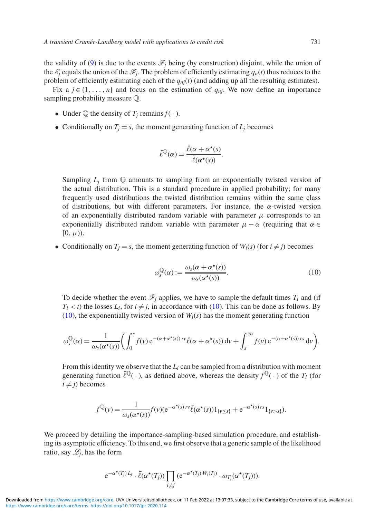the validity of [\(9\)](#page-10-2) is due to the events  $\mathcal{F}_j$  being (by construction) disjoint, while the union of the  $\mathcal{E}_j$  equals the union of the  $\mathcal{F}_j$ . The problem of efficiently estimating  $q_n(t)$  thus reduces to the problem of efficiently estimating each of the  $q_{nj}(t)$  (and adding up all the resulting estimates).

Fix a  $j \in \{1, \ldots, n\}$  and focus on the estimation of  $q_{nj}$ . We now define an importance sampling probability measure Q.

- Under  $\mathbb O$  the density of  $T_i$  remains  $f(\cdot)$ .
- Conditionally on  $T_j = s$ , the moment generating function of  $L_j$  becomes

$$
\bar{\ell}^{\mathbb{Q}}(\alpha) = \frac{\bar{\ell}(\alpha + \alpha^{\star}(s))}{\bar{\ell}(\alpha^{\star}(s))}.
$$

Sampling  $L_i$  from  $\mathbb Q$  amounts to sampling from an exponentially twisted version of the actual distribution. This is a standard procedure in applied probability; for many frequently used distributions the twisted distribution remains within the same class of distributions, but with different parameters. For instance, the  $\alpha$ -twisted version of an exponentially distributed random variable with parameter  $\mu$  corresponds to an exponentially distributed random variable with parameter  $\mu - \alpha$  (requiring that  $\alpha \in$  $[0, \mu)$ ).

• Conditionally on  $T_i = s$ , the moment generating function of  $W_i(s)$  (for  $i \neq j$ ) becomes

<span id="page-11-0"></span>
$$
\omega_s^{\mathbb{Q}}(\alpha) := \frac{\omega_s(\alpha + \alpha^\star(s))}{\omega_s(\alpha^\star(s))}.
$$
\n(10)

To decide whether the event  $\mathcal{F}_i$  applies, we have to sample the default times  $T_i$  and (if  $T_i < t$ ) the losses  $L_i$ , for  $i \neq j$ , in accordance with [\(10\)](#page-11-0). This can be done as follows. By [\(10\)](#page-11-0), the exponentially twisted version of  $W_i(s)$  has the moment generating function

$$
\omega_s^{\mathbb{Q}}(\alpha) = \frac{1}{\omega_s(\alpha^{\star}(s))} \bigg( \int_0^s f(v) e^{-(\alpha + \alpha^{\star}(s)) \, rv} \overline{\ell}(\alpha + \alpha^{\star}(s)) \, dv + \int_s^{\infty} f(v) e^{-(\alpha + \alpha^{\star}(s)) \, rs} \, dv \bigg).
$$

From this identity we observe that the  $L_i$  can be sampled from a distribution with moment generating function  $\bar{\ell}^{\mathbb{Q}}(\cdot)$ , as defined above, whereas the density  $f^{\mathbb{Q}}(\cdot)$  of the  $T_i$  (for  $i \neq j$ ) becomes

$$
f^{\mathbb{Q}}(\nu) = \frac{1}{\omega_s(\alpha^{\star}(s))} f(\nu) (e^{-\alpha^{\star}(s) \, \nu \nu} \bar{\ell}(\alpha^{\star}(s)) 1_{\{\nu \leq s\}} + e^{-\alpha^{\star}(s) \, \nu s} 1_{\{\nu > s\}}).
$$

We proceed by detailing the importance-sampling-based simulation procedure, and establishing its asymptotic efficiency. To this end, we first observe that a generic sample of the likelihood ratio, say  $\mathcal{L}_i$ , has the form

$$
e^{-\alpha^{\star}(T_j) L_j} \cdot \overline{\ell}(\alpha^{\star}(T_j)) \prod_{i \neq j} (e^{-\alpha^{\star}(T_j) W_i(T_j)} \cdot \omega_{T_j}(\alpha^{\star}(T_j))).
$$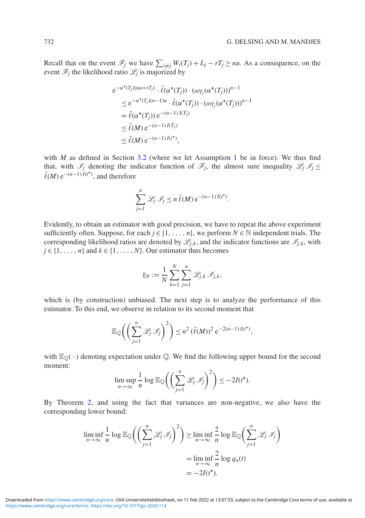Recall that on the event  $\mathcal{F}_j$  we have  $\sum_{i \neq j} W_i(T_j) + L_j - rT_j \geq nu$ . As a consequence, on the event  $\mathcal{F}_i$  the likelihood ratio  $\mathcal{L}_i$  is majorized by

$$
e^{-\alpha^{\star}(T_j)(nu+rT_j)} \cdot \bar{\ell}(\alpha^{\star}(T_j)) \cdot (\omega_{T_j}(\alpha^{\star}(T_j)))^{n-1}
$$
  
\n
$$
\leq e^{-\alpha^{\star}(T_j)(n-1)u} \cdot \bar{\ell}(\alpha^{\star}(T_j)) \cdot (\omega_{T_j}(\alpha^{\star}(T_j)))^{n-1}
$$
  
\n
$$
= \bar{\ell}(\alpha^{\star}(T_j)) e^{-(n-1)I(T_j)}
$$
  
\n
$$
\leq \bar{\ell}(M) e^{-(n-1)I(T_j)}
$$
  
\n
$$
\leq \bar{\ell}(M) e^{-(n-1)I(t^{\star})},
$$

with *M* as defined in Section [3.2](#page-8-2) (where we let Assumption [1](#page-10-1) be in force). We thus find that, with  $\mathcal{I}_j$  denoting the indicator function of  $\mathcal{F}_j$ , the almost sure inequality  $\mathcal{L}_j \mathcal{I}_j \leq$  $\bar{\ell}(M) e^{-(n-1)\bar{I}(t^*)}$ , and therefore

$$
\sum_{j=1}^n \mathcal{L}_j \mathcal{I}_j \leq n \, \bar{\ell}(M) \, \mathrm{e}^{-(n-1) \, I(t^*)}.
$$

Evidently, to obtain an estimator with good precision, we have to repeat the above experiment sufficiently often. Suppose, for each  $j \in \{1, \ldots, n\}$ , we perform  $N \in \mathbb{N}$  independent trials. The corresponding likelihood ratios are denoted by  $\mathcal{L}_i$ , and the indicator functions are  $\mathcal{I}_i$ , with  $j \in \{1, \ldots, n\}$  and  $k \in \{1, \ldots, N\}$ . Our estimator thus becomes

$$
\xi_N := \frac{1}{N} \sum_{k=1}^N \sum_{j=1}^n \mathcal{L}_{j,k} \mathcal{I}_{j,k},
$$

which is (by construction) unbiased. The next step is to analyze the performance of this estimator. To this end, we observe in relation to its second moment that

$$
\mathbb{E}_{\mathbb{Q}}\bigg(\bigg(\sum_{j=1}^n\mathscr{L}_j\mathscr{I}_j\bigg)^2\bigg) \leq n^2\,(\bar{\ell}(M))^2\,\mathrm{e}^{-2(n-1)\,I(t^*)},
$$

with  $\mathbb{E}_{\mathbb{Q}}(\cdot)$  denoting expectation under Q. We find the following upper bound for the second moment:

$$
\limsup_{n\to\infty}\frac{1}{n}\log\mathbb{E}_{\mathbb{Q}}\bigg(\bigg(\sum_{j=1}^n\mathscr{L}_j\mathscr{I}_j\bigg)^2\bigg)\leq-2I(t^{\star}).
$$

By Theorem [2,](#page-10-3) and using the fact that variances are non-negative, we also have the corresponding lower bound:

$$
\liminf_{n \to \infty} \frac{1}{n} \log \mathbb{E}_{\mathbb{Q}} \Biggl( \Biggl( \sum_{j=1}^{n} \mathcal{L}_j \mathcal{I}_j \Biggr)^2 \Biggr) \ge \liminf_{n \to \infty} \frac{2}{n} \log \mathbb{E}_{\mathbb{Q}} \Biggl( \sum_{j=1}^{n} \mathcal{L}_j \mathcal{I}_j \Biggr)
$$

$$
= \liminf_{n \to \infty} \frac{2}{n} \log q_n(t)
$$

$$
= -2I(t^*).
$$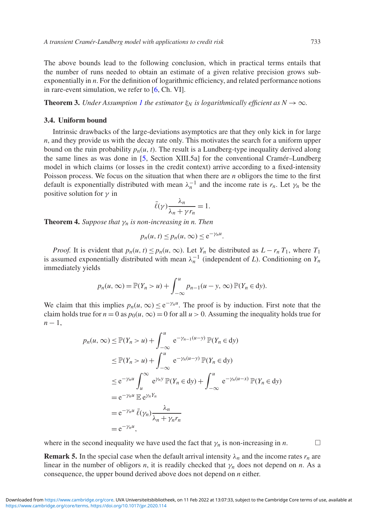The above bounds lead to the following conclusion, which in practical terms entails that the number of runs needed to obtain an estimate of a given relative precision grows subexponentially in *n*. For the definition of logarithmic efficiency, and related performance notions in rare-event simulation, we refer to [\[6,](#page-25-18) Ch. VI].

**Theorem 3.** *Under Assumption [1](#page-10-1) the estimator*  $\xi_N$  *is logarithmically efficient as*  $N \to \infty$ *.* 

#### <span id="page-13-1"></span>**3.4. Uniform bound**

Intrinsic drawbacks of the large-deviations asymptotics are that they only kick in for large *n*, and they provide us with the decay rate only. This motivates the search for a uniform upper bound on the ruin probability  $p_n(u, t)$ . The result is a Lundberg-type inequality derived along the same lines as was done in [\[5,](#page-25-0) Section XIII.5a] for the conventional Cramér–Lundberg model in which claims (or losses in the credit context) arrive according to a fixed-intensity Poisson process. We focus on the situation that when there are *n* obligors the time to the first default is exponentially distributed with mean  $\lambda_n^{-1}$  and the income rate is  $r_n$ . Let  $\gamma_n$  be the positive solution for  $\gamma$  in

$$
\bar{\ell}(\gamma)\frac{\lambda_n}{\lambda_n + \gamma r_n} = 1.
$$

**Theorem 4.** *Suppose that*  $\gamma_n$  *is non-increasing in n. Then* 

$$
p_n(u, t) \leq p_n(u, \infty) \leq e^{-\gamma_n u}.
$$

*Proof.* It is evident that  $p_n(u, t) \leq p_n(u, \infty)$ . Let  $Y_n$  be distributed as  $L - r_n T_1$ , where  $T_1$ is assumed exponentially distributed with mean  $\lambda_n^{-1}$  (independent of *L*). Conditioning on  $Y_n$ immediately yields

$$
p_n(u,\infty) = \mathbb{P}(Y_n > u) + \int_{-\infty}^u p_{n-1}(u - y, \infty) \, \mathbb{P}(Y_n \in \mathrm{d}y).
$$

We claim that this implies  $p_n(u, \infty) \leq e^{-\gamma_n u}$ . The proof is by induction. First note that the claim holds true for  $n = 0$  as  $p_0(u, \infty) = 0$  for all  $u > 0$ . Assuming the inequality holds true for *n* − 1,

$$
p_n(u, \infty) \leq \mathbb{P}(Y_n > u) + \int_{-\infty}^{u} e^{-\gamma_{n-1}(u-y)} \mathbb{P}(Y_n \in dy)
$$
  
\n
$$
\leq \mathbb{P}(Y_n > u) + \int_{-\infty}^{u} e^{-\gamma_n(u-y)} \mathbb{P}(Y_n \in dy)
$$
  
\n
$$
\leq e^{-\gamma_n u} \int_{u}^{\infty} e^{\gamma_n y} \mathbb{P}(Y_n \in dy) + \int_{-\infty}^{u} e^{-\gamma_n(u-x)} \mathbb{P}(Y_n \in dy)
$$
  
\n
$$
= e^{-\gamma_n u} \mathbb{E} e^{\gamma_n Y_n}
$$
  
\n
$$
= e^{-\gamma_n u} \bar{\ell}(\gamma_n) \frac{\lambda_n}{\lambda_n + \gamma_n r_n}
$$
  
\n
$$
= e^{-\gamma_n u},
$$

where in the second inequality we have used the fact that  $\gamma_n$  is non-increasing in *n*.

<span id="page-13-0"></span>**Remark 5.** In the special case when the default arrival intensity  $\lambda_n$  and the income rates  $r_n$  are linear in the number of obligors *n*, it is readily checked that  $\gamma_n$  does not depend on *n*. As a consequence, the upper bound derived above does not depend on *n* either.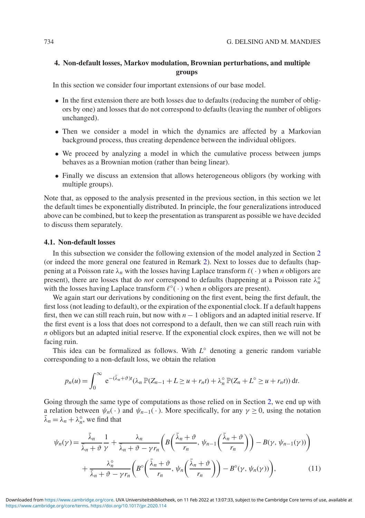### **4. Non-default losses, Markov modulation, Brownian perturbations, and multiple groups**

In this section we consider four important extensions of our base model.

- In the first extension there are both losses due to defaults (reducing the number of obligors by one) and losses that do not correspond to defaults (leaving the number of obligors unchanged).
- Then we consider a model in which the dynamics are affected by a Markovian background process, thus creating dependence between the individual obligors.
- We proceed by analyzing a model in which the cumulative process between jumps behaves as a Brownian motion (rather than being linear).
- Finally we discuss an extension that allows heterogeneous obligors (by working with multiple groups).

Note that, as opposed to the analysis presented in the previous section, in this section we let the default times be exponentially distributed. In principle, the four generalizations introduced above can be combined, but to keep the presentation as transparent as possible we have decided to discuss them separately.

#### <span id="page-14-1"></span>**4.1. Non-default losses**

In this subsection we consider the following extension of the model analyzed in Section [2](#page-3-0) (or indeed the more general one featured in Remark [2\)](#page-5-3). Next to losses due to defaults (happening at a Poisson rate  $\lambda_n$  with the losses having Laplace transform  $\ell(\cdot)$  when *n* obligors are present), there are losses that do *not* correspond to defaults (happening at a Poisson rate  $\lambda_n^{\circ}$ with the losses having Laplace transform  $\ell^{\circ}(\cdot)$  when *n* obligors are present).

We again start our derivations by conditioning on the first event, being the first default, the first loss (not leading to default), or the expiration of the exponential clock. If a default happens first, then we can still reach ruin, but now with *n* − 1 obligors and an adapted initial reserve. If the first event is a loss that does not correspond to a default, then we can still reach ruin with *n* obligors but an adapted initial reserve. If the exponential clock expires, then we will not be facing ruin.

This idea can be formalized as follows. With *L*◦ denoting a generic random variable corresponding to a non-default loss, we obtain the relation

$$
p_n(u) = \int_0^\infty e^{-(\bar{\lambda}_n + \vartheta)t} (\lambda_n \mathbb{P}(Z_{n-1} + L \ge u + r_n t) + \lambda_n^\circ \mathbb{P}(Z_n + L^\circ \ge u + r_n t)) dt.
$$

Going through the same type of computations as those relied on in Section [2,](#page-3-0) we end up with a relation between  $\psi_n(\cdot)$  and  $\psi_{n-1}(\cdot)$ . More specifically, for any  $\gamma \ge 0$ , using the notation  $\bar{\lambda}_n = \lambda_n + \lambda_n^{\circ}$ , we find that

<span id="page-14-0"></span>
$$
\psi_n(\gamma) = \frac{\bar{\lambda}_n}{\bar{\lambda}_n + \vartheta} \frac{1}{\gamma} + \frac{\lambda_n}{\bar{\lambda}_n + \vartheta - \gamma r_n} \left( B\left(\frac{\bar{\lambda}_n + \vartheta}{r_n}, \psi_{n-1}\left(\frac{\bar{\lambda}_n + \vartheta}{r_n}\right)\right) - B(\gamma, \psi_{n-1}(\gamma)) \right) + \frac{\lambda_n^{\circ}}{\bar{\lambda}_n + \vartheta - \gamma r_n} \left( B^{\circ}\left(\frac{\bar{\lambda}_n + \vartheta}{r_n}, \psi_n\left(\frac{\bar{\lambda}_n + \vartheta}{r_n}\right)\right) - B^{\circ}(\gamma, \psi_n(\gamma)) \right), \tag{11}
$$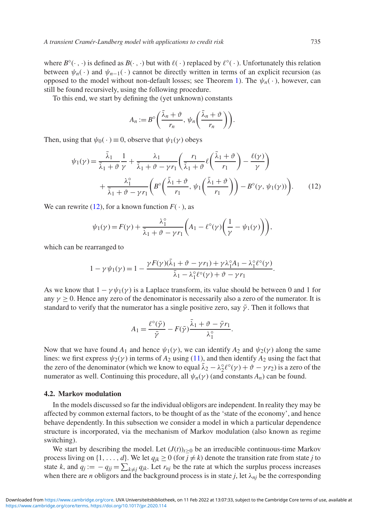where  $B^{\circ}(\cdot, \cdot)$  is defined as  $B(\cdot, \cdot)$  but with  $\ell(\cdot)$  replaced by  $\ell^{\circ}(\cdot)$ . Unfortunately this relation between  $\psi_n(\cdot)$  and  $\psi_{n-1}(\cdot)$  cannot be directly written in terms of an explicit recursion (as opposed to the model without non-default losses; see Theorem [1\)](#page-5-2). The  $\psi_n(\cdot)$ , however, can still be found recursively, using the following procedure.

To this end, we start by defining the (yet unknown) constants

<span id="page-15-0"></span>
$$
A_n := B^{\circ} \left( \frac{\bar{\lambda}_n + \vartheta}{r_n}, \psi_n \left( \frac{\bar{\lambda}_n + \vartheta}{r_n} \right) \right).
$$

Then, using that  $\psi_0(\cdot) \equiv 0$ , observe that  $\psi_1(\gamma)$  obeys

$$
\psi_1(\gamma) = \frac{\bar{\lambda}_1}{\bar{\lambda}_1 + \vartheta} \frac{1}{\gamma} + \frac{\lambda_1}{\bar{\lambda}_1 + \vartheta - \gamma r_1} \left( \frac{r_1}{\bar{\lambda}_1 + \vartheta} \ell \left( \frac{\bar{\lambda}_1 + \vartheta}{r_1} \right) - \frac{\ell(\gamma)}{\gamma} \right) + \frac{\lambda_1^{\circ}}{\bar{\lambda}_1 + \vartheta - \gamma r_1} \left( B^{\circ} \left( \frac{\bar{\lambda}_1 + \vartheta}{r_1}, \psi_1 \left( \frac{\bar{\lambda}_1 + \vartheta}{r_1} \right) \right) - B^{\circ}(\gamma, \psi_1(\gamma)) \right).
$$
(12)

We can rewrite [\(12\)](#page-15-0), for a known function  $F(\cdot)$ , as

$$
\psi_1(\gamma) = F(\gamma) + \frac{\lambda_1^{\circ}}{\bar{\lambda}_1 + \vartheta - \gamma r_1} \bigg( A_1 - \ell^{\circ}(\gamma) \bigg( \frac{1}{\gamma} - \psi_1(\gamma) \bigg) \bigg),
$$

which can be rearranged to

$$
1 - \gamma \psi_1(\gamma) = 1 - \frac{\gamma F(\gamma)(\bar{\lambda}_1 + \vartheta - \gamma r_1) + \gamma \lambda_1^{\circ} A_1 - \lambda_1^{\circ} \ell^{\circ}(\gamma)}{\bar{\lambda}_1 - \lambda_1^{\circ} \ell^{\circ}(\gamma) + \vartheta - \gamma r_1}.
$$

As we know that  $1 - \gamma \psi_1(\gamma)$  is a Laplace transform, its value should be between 0 and 1 for any  $\gamma > 0$ . Hence any zero of the denominator is necessarily also a zero of the numerator. It is standard to verify that the numerator has a single positive zero, say  $\bar{\gamma}$ . Then it follows that

$$
A_1 = \frac{\ell^{\circ}(\bar{\gamma})}{\bar{\gamma}} - F(\bar{\gamma}) \frac{\bar{\lambda}_1 + \vartheta - \bar{\gamma}r_1}{\lambda_1^{\circ}}.
$$

Now that we have found  $A_1$  and hence  $\psi_1(\gamma)$ , we can identify  $A_2$  and  $\psi_2(\gamma)$  along the same lines: we first express  $\psi_2(\gamma)$  in terms of  $A_2$  using [\(11\)](#page-14-0), and then identify  $A_2$  using the fact that the zero of the denominator (which we know to equal  $\bar{\lambda}_2 - \lambda_2^{\circ} \ell^{\circ}(\gamma) + \vartheta - \gamma r_2$ ) is a zero of the numerator as well. Continuing this procedure, all  $\psi_n(\gamma)$  (and constants  $A_n$ ) can be found.

#### **4.2. Markov modulation**

In the models discussed so far the individual obligors are independent. In reality they may be affected by common external factors, to be thought of as the 'state of the economy', and hence behave dependently. In this subsection we consider a model in which a particular dependence structure is incorporated, via the mechanism of Markov modulation (also known as regime switching).

We start by describing the model. Let  $(J(t))_{t\geq0}$  be an irreducible continuous-time Markov process living on  $\{1, \ldots, d\}$ . We let  $q_{jk} \ge 0$  (for  $j \ne k$ ) denote the transition rate from state *j* to state *k*, and  $q_j := -q_{jj} = \sum_{k \neq j} q_{jk}$ . Let  $r_{nj}$  be the rate at which the surplus process increases when there are *n* obligors and the background process is in state *j*, let  $\lambda_{nj}$  be the corresponding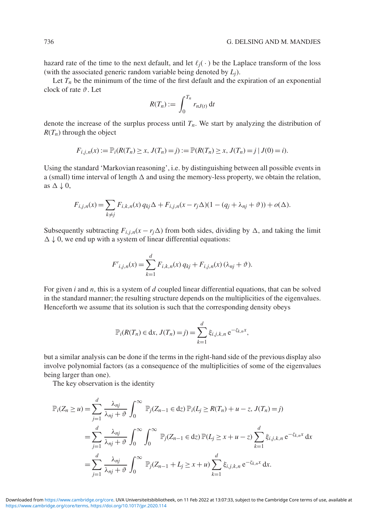hazard rate of the time to the next default, and let  $\ell_i(\cdot)$  be the Laplace transform of the loss (with the associated generic random variable being denoted by *Lj*).

Let  $T_n$  be the minimum of the time of the first default and the expiration of an exponential clock of rate  $\vartheta$ . Let

$$
R(T_n) := \int_0^{T_n} r_{nJ(t)} \, \mathrm{d}t
$$

denote the increase of the surplus process until  $T_n$ . We start by analyzing the distribution of  $R(T_n)$  through the object

$$
F_{i,j,n}(x) := \mathbb{P}_i(R(T_n) \ge x, J(T_n) = j) := \mathbb{P}(R(T_n) \ge x, J(T_n) = j | J(0) = i).
$$

Using the standard 'Markovian reasoning', i.e. by distinguishing between all possible events in a (small) time interval of length  $\Delta$  and using the memory-less property, we obtain the relation, as  $\Delta \downarrow 0$ ,

$$
F_{i,j,n}(x) = \sum_{k \neq j} F_{i,k,n}(x) q_{kj} \Delta + F_{i,j,n}(x - r_j \Delta)(1 - (q_j + \lambda_{nj} + \vartheta)) + o(\Delta).
$$

Subsequently subtracting  $F_{i,i,n}(x - r_i \Delta)$  from both sides, dividing by  $\Delta$ , and taking the limit  $\Delta \downarrow 0$ , we end up with a system of linear differential equations:

$$
F'_{i,j,n}(x) = \sum_{k=1}^{d} F_{i,k,n}(x) q_{kj} + F_{i,j,n}(x) (\lambda_{nj} + \vartheta).
$$

For given *i* and *n*, this is a system of *d* coupled linear differential equations, that can be solved in the standard manner; the resulting structure depends on the multiplicities of the eigenvalues. Henceforth we assume that its solution is such that the corresponding density obeys

$$
\mathbb{P}_i(R(T_n) \in \text{d}x, J(T_n) = j) = \sum_{k=1}^d \xi_{i,j,k,n} e^{-\zeta_{k,n}x},
$$

but a similar analysis can be done if the terms in the right-hand side of the previous display also involve polynomial factors (as a consequence of the multiplicities of some of the eigenvalues being larger than one).

The key observation is the identity

$$
\mathbb{P}_i(Z_n \ge u) = \sum_{j=1}^d \frac{\lambda_{nj}}{\lambda_{nj} + \vartheta} \int_0^\infty \mathbb{P}_j(Z_{n-1} \in dz) \mathbb{P}_i(L_j \ge R(T_n) + u - z, J(T_n) = j)
$$
  
\n
$$
= \sum_{j=1}^d \frac{\lambda_{nj}}{\lambda_{nj} + \vartheta} \int_0^\infty \int_0^\infty \mathbb{P}_j(Z_{n-1} \in dz) \mathbb{P}(L_j \ge x + u - z) \sum_{k=1}^d \xi_{i,j,k,n} e^{-\zeta_{k,n}x} dx
$$
  
\n
$$
= \sum_{j=1}^d \frac{\lambda_{nj}}{\lambda_{nj} + \vartheta} \int_0^\infty \mathbb{P}_j(Z_{n-1} + L_j \ge x + u) \sum_{k=1}^d \xi_{i,j,k,n} e^{-\zeta_{k,n}x} dx.
$$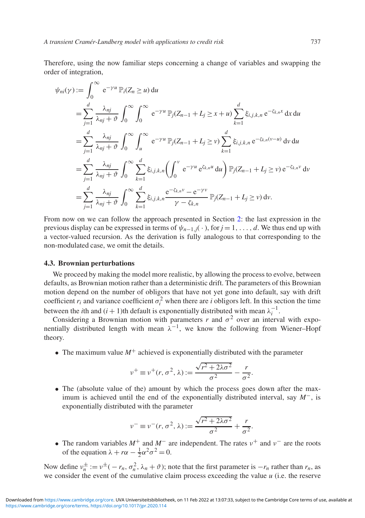Therefore, using the now familiar steps concerning a change of variables and swapping the order of integration,

$$
\psi_{ni}(\gamma) := \int_0^\infty e^{-\gamma u} \mathbb{P}_i(Z_n \ge u) du
$$
  
\n
$$
= \sum_{j=1}^d \frac{\lambda_{nj}}{\lambda_{nj} + \vartheta} \int_0^\infty \int_0^\infty e^{-\gamma u} \mathbb{P}_j(Z_{n-1} + L_j \ge x + u) \sum_{k=1}^d \xi_{i,j,k,n} e^{-\zeta_{k,n}x} dx du
$$
  
\n
$$
= \sum_{j=1}^d \frac{\lambda_{nj}}{\lambda_{nj} + \vartheta} \int_0^\infty \int_u^\infty e^{-\gamma u} \mathbb{P}_j(Z_{n-1} + L_j \ge v) \sum_{k=1}^d \xi_{i,j,k,n} e^{-\zeta_{k,n}(v-u)} dv du
$$
  
\n
$$
= \sum_{j=1}^d \frac{\lambda_{nj}}{\lambda_{nj} + \vartheta} \int_0^\infty \sum_{k=1}^d \xi_{i,j,k,n} (\int_0^v e^{-\gamma u} e^{\zeta_{k,n} u} du) \mathbb{P}_j(Z_{n-1} + L_j \ge v) e^{-\zeta_{k,n}v} dv
$$
  
\n
$$
= \sum_{j=1}^d \frac{\lambda_{nj}}{\lambda_{nj} + \vartheta} \int_0^\infty \sum_{k=1}^d \xi_{i,j,k,n} \frac{e^{-\zeta_{k,n}v} - e^{-\gamma v}}{\gamma - \zeta_{k,n}} \mathbb{P}_j(Z_{n-1} + L_j \ge v) dv.
$$

From now on we can follow the approach presented in Section [2:](#page-3-0) the last expression in the previous display can be expressed in terms of  $\psi_{n-1,j}(\cdot)$ , for  $j = 1, \ldots, d$ . We thus end up with a vector-valued recursion. As the derivation is fully analogous to that corresponding to the non-modulated case, we omit the details.

#### **4.3. Brownian perturbations**

We proceed by making the model more realistic, by allowing the process to evolve, between defaults, as Brownian motion rather than a deterministic drift. The parameters of this Brownian motion depend on the number of obligors that have not yet gone into default, say with drift coefficient  $r_i$  and variance coefficient  $\sigma_i^2$  when there are *i* obligors left. In this section the time between the *i*th and  $(i + 1)$ th default is exponentially distributed with mean  $\lambda_i^{-1}$ .

Considering a Brownian motion with parameters *r* and  $\sigma^2$  over an interval with exponentially distributed length with mean  $\lambda^{-1}$ , we know the following from Wiener–Hopf theory.

• The maximum value  $M^+$  achieved is exponentially distributed with the parameter

$$
\nu^+ \equiv \nu^+(r, \sigma^2, \lambda) := \frac{\sqrt{r^2 + 2\lambda\sigma^2}}{\sigma^2} - \frac{r}{\sigma^2}.
$$

• The (absolute value of the) amount by which the process goes down after the maximum is achieved until the end of the exponentially distributed interval, say *M*−, is exponentially distributed with the parameter

$$
\nu^{-} \equiv \nu^{-}(r, \sigma^{2}, \lambda) := \frac{\sqrt{r^{2} + 2\lambda\sigma^{2}}}{\sigma^{2}} + \frac{r}{\sigma^{2}}.
$$

• The random variables  $M^+$  and  $M^-$  are independent. The rates  $v^+$  and  $v^-$  are the roots of the equation  $\lambda + r\alpha - \frac{1}{2}\alpha^2\sigma^2 = 0$ .

Now define  $v_n^{\pm} := v^{\pm}(-r_n, \sigma_n^2, \lambda_n + \vartheta)$ ; note that the first parameter is  $-r_n$  rather than  $r_n$ , as we consider the event of the cumulative claim process exceeding the value *u* (i.e. the reserve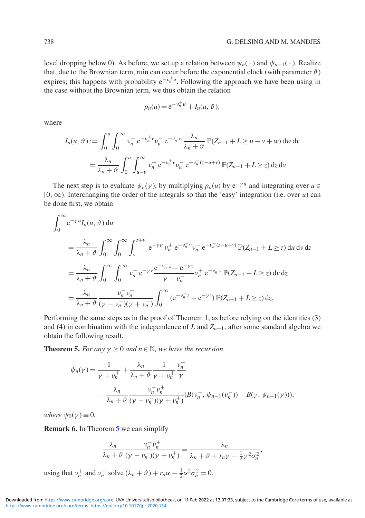level dropping below 0). As before, we set up a relation between  $\psi_n(\cdot)$  and  $\psi_{n-1}(\cdot)$ . Realize that, due to the Brownian term, ruin can occur before the exponential clock (with parameter  $\vartheta$ ) expires; this happens with probability e<sup>-v<sub>n</sub>+u</sup>. Following the approach we have been using in the case without the Brownian term, we thus obtain the relation

$$
p_n(u) = e^{-\nu_n^+ u} + I_n(u, \vartheta),
$$

where

$$
I_n(u, \vartheta) := \int_0^u \int_0^\infty v_n^+ e^{-v_n^+ v} v_n^- e^{-v_n^- w} \frac{\lambda_n}{\lambda_n + \vartheta} \mathbb{P}(Z_{n-1} + L \ge u - v + w) \, dw \, dv
$$
  
= 
$$
\frac{\lambda_n}{\lambda_n + \vartheta} \int_0^u \int_{u-v}^\infty v_n^+ e^{-v_n^+ v} v_n^- e^{-v_n^- (z - u + v)} \mathbb{P}(Z_{n-1} + L \ge z) \, dz \, dv.
$$

The next step is to evaluate  $\psi_n(\gamma)$ , by multiplying  $p_n(u)$  by  $e^{-\gamma u}$  and integrating over  $u \in$ [0, ∞). Interchanging the order of the integrals so that the 'easy' integration (i.e. over *u*) can be done first, we obtain

$$
\int_{0}^{\infty} e^{-\gamma u} I_{n}(u, \vartheta) du
$$
\n
$$
= \frac{\lambda_{n}}{\lambda_{n} + \vartheta} \int_{0}^{\infty} \int_{0}^{\infty} \int_{\nu}^{z+v} e^{-\gamma u} v_{n}^{+} e^{-v_{n}^{+} v} v_{n}^{-} e^{-v_{n}^{-}(z-u+v)} \mathbb{P}(Z_{n-1} + L \ge z) du dv dz
$$
\n
$$
= \frac{\lambda_{n}}{\lambda_{n} + \vartheta} \int_{0}^{\infty} \int_{0}^{\infty} v_{n}^{-} e^{-\gamma v} \frac{e^{-v_{n}^{-} z} - e^{-\gamma z}}{\gamma - v_{n}^{-}} v_{n}^{+} e^{-v_{n}^{+} v} \mathbb{P}(Z_{n-1} + L \ge z) dv dz
$$
\n
$$
= \frac{\lambda_{n}}{\lambda_{n} + \vartheta} \frac{v_{n}^{-} v_{n}^{+}}{(\gamma - v_{n}^{-})(\gamma + v_{n}^{+})} \int_{0}^{\infty} (e^{-v_{n}^{-} z} - e^{-\gamma z}) \mathbb{P}(Z_{n-1} + L \ge z) dz.
$$

Performing the same steps as in the proof of Theorem 1, as before relying on the identities [\(3\)](#page-5-0) and [\(4\)](#page-5-1) in combination with the independence of *L* and *Zn*−1, after some standard algebra we obtain the following result.

<span id="page-18-0"></span>**Theorem 5.** *For any*  $\gamma \geq 0$  *and*  $n \in \mathbb{N}$ *, we have the recursion* 

$$
\psi_n(\gamma) = \frac{1}{\gamma + \nu_n^+} + \frac{\lambda_n}{\lambda_n + \vartheta} \frac{1}{\gamma + \nu_n^+} \frac{\nu_n^+}{\gamma} \n- \frac{\lambda_n}{\lambda_n + \vartheta} \frac{\nu_n^- \nu_n^+}{(\gamma - \nu_n^-)(\gamma + \nu_n^+)} (B(\nu_n^-, \psi_{n-1}(\nu_n^-)) - B(\gamma, \psi_{n-1}(\gamma))),
$$

*where*  $\psi_0(\gamma) \equiv 0$ *.* 

**Remark 6.** In Theorem [5](#page-18-0) we can simplify

$$
\frac{\lambda_n}{\lambda_n + \vartheta} \frac{\nu_n^{\perp} \nu_n^+}{(\gamma - \nu_n^{\perp})(\gamma + \nu_n^+)} = \frac{\lambda_n}{\lambda_n + \vartheta + r_n \gamma - \frac{1}{2} \gamma^2 \sigma_n^2},
$$

<span id="page-18-1"></span>using that  $v_n^+$  and  $v_n^-$  solve  $(\lambda_n + \vartheta) + r_n \alpha - \frac{1}{2} \alpha^2 \sigma_n^2 = 0$ .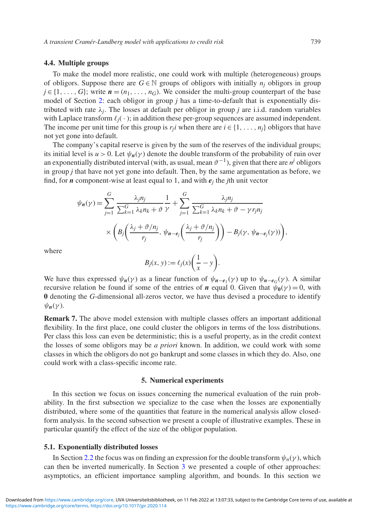#### **4.4. Multiple groups**

To make the model more realistic, one could work with multiple (heterogeneous) groups of obligors. Suppose there are  $G \in \mathbb{N}$  groups of obligors with initially  $n_i$  obligors in group  $j \in \{1, \ldots, G\}$ ; write  $n = (n_1, \ldots, n_G)$ . We consider the multi-group counterpart of the base model of Section [2:](#page-3-0) each obligor in group *j* has a time-to-default that is exponentially distributed with rate  $\lambda_i$ . The losses at default per obligor in group *j* are i.i.d. random variables with Laplace transform  $\ell_j(\cdot)$ ; in addition these per-group sequences are assumed independent. The income per unit time for this group is  $r_i$  when there are  $i \in \{1, \ldots, n_i\}$  obligors that have not yet gone into default.

The company's capital reserve is given by the sum of the reserves of the individual groups; its initial level is  $u > 0$ . Let  $\psi_n(\gamma)$  denote the double transform of the probability of ruin over an exponentially distributed interval (with, as usual, mean  $\vartheta^{-1}$ ), given that there are  $n^j$  obligors in group *j* that have not yet gone into default. Then, by the same argumentation as before, we find, for *n* component-wise at least equal to 1, and with  $e_i$  the *j*th unit vector

$$
\psi_{n}(\gamma) = \sum_{j=1}^{G} \frac{\lambda_{j} n_{j}}{\sum_{k=1}^{G} \lambda_{k} n_{k} + \vartheta} \frac{1}{\gamma} + \sum_{j=1}^{G} \frac{\lambda_{j} n_{j}}{\sum_{k=1}^{G} \lambda_{k} n_{k} + \vartheta - \gamma r_{j} n_{j}} \times \left( B_{j} \left( \frac{\lambda_{j} + \vartheta / n_{j}}{r_{j}}, \psi_{n-e_{j}} \left( \frac{\lambda_{j} + \vartheta / n_{j}}{r_{j}} \right) \right) - B_{j}(\gamma, \psi_{n-e_{j}}(\gamma)) \right),
$$

where

$$
B_j(x, y) := \ell_j(x) \bigg( \frac{1}{x} - y \bigg).
$$

We have thus expressed  $\psi_n(\gamma)$  as a linear function of  $\psi_{n-e_1}(\gamma)$  up to  $\psi_{n-e_1}(\gamma)$ . A similar recursive relation be found if some of the entries of *n* equal 0. Given that  $\psi_0(\gamma) = 0$ , with **0** denoting the *G*-dimensional all-zeros vector, we have thus devised a procedure to identify  $\psi_n(\gamma)$ .

**Remark 7.** The above model extension with multiple classes offers an important additional flexibility. In the first place, one could cluster the obligors in terms of the loss distributions. Per class this loss can even be deterministic; this is a useful property, as in the credit context the losses of some obligors may be *a priori* known. In addition, we could work with some classes in which the obligors do not go bankrupt and some classes in which they do. Also, one could work with a class-specific income rate.

#### **5. Numerical experiments**

In this section we focus on issues concerning the numerical evaluation of the ruin probability. In the first subsection we specialize to the case when the losses are exponentially distributed, where some of the quantities that feature in the numerical analysis allow closedform analysis. In the second subsection we present a couple of illustrative examples. These in particular quantify the effect of the size of the obligor population.

#### **5.1. Exponentially distributed losses**

In Section [2.2](#page-4-1) the focus was on finding an expression for the double transform  $\psi_n(\gamma)$ , which can then be inverted numerically. In Section [3](#page-7-0) we presented a couple of other approaches: asymptotics, an efficient importance sampling algorithm, and bounds. In this section we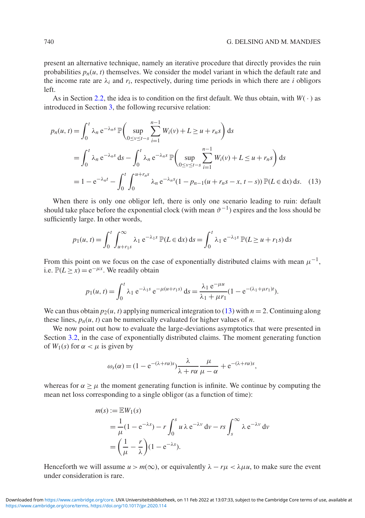present an alternative technique, namely an iterative procedure that directly provides the ruin probabilities  $p_n(u, t)$  themselves. We consider the model variant in which the default rate and the income rate are  $\lambda_i$  and  $r_i$ , respectively, during time periods in which there are *i* obligors left.

As in Section [2.2,](#page-4-1) the idea is to condition on the first default. We thus obtain, with  $W(·)$  as introduced in Section [3,](#page-7-0) the following recursive relation:

<span id="page-20-0"></span>
$$
p_n(u, t) = \int_0^t \lambda_n e^{-\lambda_n s} \mathbb{P}\left(\sup_{0 \le v \le t-s} \sum_{i=1}^{n-1} W_i(v) + L \ge u + r_n s\right) ds
$$
  
= 
$$
\int_0^t \lambda_n e^{-\lambda_n s} ds - \int_0^t \lambda_n e^{-\lambda_n s} \mathbb{P}\left(\sup_{0 \le v \le t-s} \sum_{i=1}^{n-1} W_i(v) + L \le u + r_n s\right) ds
$$
  
= 
$$
1 - e^{-\lambda_n t} - \int_0^t \int_0^{u + r_n s} \lambda_n e^{-\lambda_n s} (1 - p_{n-1}(u + r_n s - x, t - s)) \mathbb{P}(L \in dx) ds.
$$
 (13)

When there is only one obligor left, there is only one scenario leading to ruin: default should take place before the exponential clock (with mean  $\vartheta^{-1}$ ) expires and the loss should be sufficiently large. In other words,

$$
p_1(u, t) = \int_0^t \int_{u+r_1s}^{\infty} \lambda_1 e^{-\lambda_1 s} \, \mathbb{P}(L \in \text{d}x) \, \text{d}s = \int_0^t \lambda_1 e^{-\lambda_1 s} \, \mathbb{P}(L \ge u + r_1 s) \, \text{d}s
$$

From this point on we focus on the case of exponentially distributed claims with mean  $\mu^{-1}$ . i.e.  $\mathbb{P}(L \ge x) = e^{-\mu x}$ . We readily obtain

$$
p_1(u,t) = \int_0^t \lambda_1 e^{-\lambda_1 s} e^{-\mu(u+r_1 s)} ds = \frac{\lambda_1 e^{-\mu u}}{\lambda_1 + \mu r_1} (1 - e^{-(\lambda_1 + \mu r_1)t}).
$$

We can thus obtain  $p_2(u, t)$  applying numerical integration to [\(13\)](#page-20-0) with  $n = 2$ . Continuing along these lines,  $p_n(u, t)$  can be numerically evaluated for higher values of *n*.

We now point out how to evaluate the large-deviations asymptotics that were presented in Section [3.2,](#page-8-2) in the case of exponentially distributed claims. The moment generating function of  $W_1(s)$  for  $\alpha < \mu$  is given by

$$
\omega_s(\alpha) = (1 - e^{-(\lambda + r\alpha)s}) \frac{\lambda}{\lambda + r\alpha} \frac{\mu}{\mu - \alpha} + e^{-(\lambda + r\alpha)s},
$$

whereas for  $\alpha \geq \mu$  the moment generating function is infinite. We continue by computing the mean net loss corresponding to a single obligor (as a function of time):

$$
m(s) := \mathbb{E}W_1(s)
$$
  
=  $\frac{1}{\mu}(1 - e^{-\lambda s}) - r \int_0^s u \lambda e^{-\lambda v} dv - rs \int_s^\infty \lambda e^{-\lambda v} dv$   
=  $\left(\frac{1}{\mu} - \frac{r}{\lambda}\right)(1 - e^{-\lambda s}).$ 

Henceforth we will assume  $u > m(\infty)$ , or equivalently  $\lambda - r\mu < \lambda \mu u$ , to make sure the event under consideration is rare.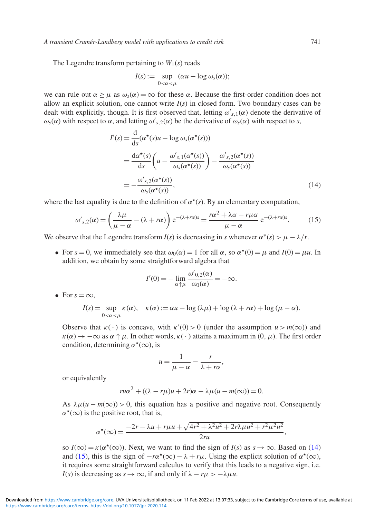*A transient Cramér-Lundberg model with applications to credit risk* 741

The Legendre transform pertaining to  $W_1(s)$  reads

<span id="page-21-0"></span>
$$
I(s) := \sup_{0 < \alpha < \mu} (\alpha u - \log \omega_s(\alpha));
$$

we can rule out  $\alpha \geq \mu$  as  $\omega_s(\alpha) = \infty$  for these  $\alpha$ . Because the first-order condition does not allow an explicit solution, one cannot write *I*(*s*) in closed form. Two boundary cases can be dealt with explicitly, though. It is first observed that, letting  $\omega'_{s,1}(\alpha)$  denote the derivative of  $\omega_s(\alpha)$  with respect to  $\alpha$ , and letting  $\omega'_{s,2}(\alpha)$  be the derivative of  $\omega_s(\alpha)$  with respect to *s*,

$$
I'(s) = \frac{d}{ds}(\alpha^*(s)u - \log \omega_s(\alpha^*(s)))
$$
  
= 
$$
\frac{d\alpha^*(s)}{ds} \left( u - \frac{\omega'_{s,1}(\alpha^*(s))}{\omega_s(\alpha^*(s))} \right) - \frac{\omega'_{s,2}(\alpha^*(s))}{\omega_s(\alpha^*(s))}
$$
  
= 
$$
-\frac{\omega'_{s,2}(\alpha^*(s))}{\omega_s(\alpha^*(s))},
$$
(14)

where the last equality is due to the definition of  $\alpha^*(s)$ . By an elementary computation,

$$
\omega'_{s,2}(\alpha) = \left(\frac{\lambda\mu}{\mu - \alpha} - (\lambda + r\alpha)\right) e^{-(\lambda + r\alpha)s} = \frac{r\alpha^2 + \lambda\alpha - r\mu\alpha}{\mu - \alpha} e^{-(\lambda + r\alpha)s}.\tag{15}
$$

We observe that the Legendre transform  $I(s)$  is decreasing in *s* whenever  $\alpha^*(s) > \mu - \lambda/r$ .

• For  $s = 0$ , we immediately see that  $\omega_0(\alpha) = 1$  for all  $\alpha$ , so  $\alpha^*(0) = \mu$  and  $I(0) = \mu u$ . In addition, we obtain by some straightforward algebra that

<span id="page-21-1"></span>
$$
I'(0) = -\lim_{\alpha \uparrow \mu} \frac{\omega'_{0,2}(\alpha)}{\omega_0(\alpha)} = -\infty.
$$

• For  $s = \infty$ ,

$$
I(s) = \sup_{0 < \alpha < \mu} \kappa(\alpha), \quad \kappa(\alpha) := \alpha u - \log(\lambda \mu) + \log(\lambda + r\alpha) + \log(\mu - \alpha).
$$

Observe that  $\kappa(\cdot)$  is concave, with  $\kappa'(0) > 0$  (under the assumption  $u > m(\infty)$ ) and  $\kappa(\alpha) \to -\infty$  as  $\alpha \uparrow \mu$ . In other words,  $\kappa(\cdot)$  attains a maximum in  $(0, \mu)$ . The first order condition, determining  $\alpha^*(\infty)$ , is

$$
u = \frac{1}{\mu - \alpha} - \frac{r}{\lambda + r\alpha},
$$

or equivalently

$$
ru\alpha^{2} + ((\lambda - r\mu)u + 2r)\alpha - \lambda\mu(u - m(\infty)) = 0.
$$

As  $\lambda \mu (u - m(\infty)) > 0$ , this equation has a positive and negative root. Consequently  $\alpha^{\star}(\infty)$  is the positive root, that is,

$$
\alpha^{\star}(\infty) = \frac{-2r - \lambda u + r\mu u + \sqrt{4r^2 + \lambda^2 u^2 + 2r\lambda\mu u^2 + r^2\mu^2 u^2}}{2ru},
$$

so  $I(\infty) = \kappa(\alpha^*(\infty))$ . Next, we want to find the sign of  $I(s)$  as  $s \to \infty$ . Based on [\(14\)](#page-21-0) and [\(15\)](#page-21-1), this is the sign of  $-r\alpha^*(\infty) - \lambda + r\mu$ . Using the explicit solution of  $\alpha^*(\infty)$ , it requires some straightforward calculus to verify that this leads to a negative sign, i.e. *I*(*s*) is decreasing as  $s \to \infty$ , if and only if  $\lambda - r\mu > -\lambda \mu u$ .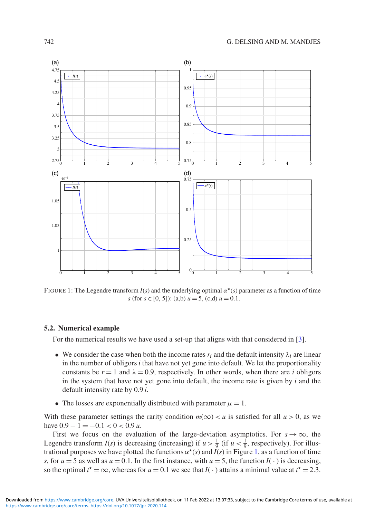<span id="page-22-0"></span>

FIGURE 1: The Legendre transform  $I(s)$  and the underlying optimal  $\alpha^*(s)$  parameter as a function of time *s* (for *s* ∈ [0, 5]): (a,b)  $u = 5$ , (c,d)  $u = 0.1$ .

#### **5.2. Numerical example**

For the numerical results we have used a set-up that aligns with that considered in [\[3\]](#page-25-19).

- We consider the case when both the income rates  $r_i$  and the default intensity  $\lambda_i$  are linear in the number of obligors  $i$  that have not yet gone into default. We let the proportionality constants be  $r = 1$  and  $\lambda = 0.9$ , respectively. In other words, when there are *i* obligors in the system that have not yet gone into default, the income rate is given by *i* and the default intensity rate by 0.9 *i*.
- The losses are exponentially distributed with parameter  $\mu = 1$ .

With these parameter settings the rarity condition  $m(\infty) < u$  is satisfied for all  $u > 0$ , as we have  $0.9 - 1 = -0.1 < 0 < 0.9$  *u*.

First we focus on the evaluation of the large-deviation asymptotics. For  $s \to \infty$ , the Legendre transform  $I(s)$  is decreasing (increasing) if  $u > \frac{1}{9}$  (if  $u < \frac{1}{9}$ , respectively). For illustrational purposes we have plotted the functions  $\alpha^*(s)$  and  $\hat{I}(s)$  in Figure [1,](#page-22-0) as a function of time *s*, for  $u = 5$  as well as  $u = 0.1$ . In the first instance, with  $u = 5$ , the function  $I(\cdot)$  is decreasing, so the optimal  $t^* = \infty$ , whereas for  $u = 0.1$  we see that  $I(\cdot)$  attains a minimal value at  $t^* = 2.3$ .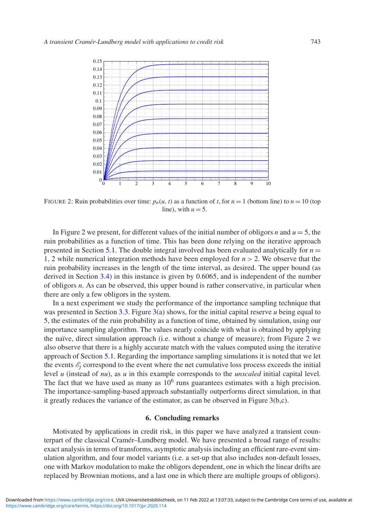<span id="page-23-0"></span>

FIGURE 2: Ruin probabilities over time:  $p_n(u, t)$  as a function of *t*, for  $n = 1$  (bottom line) to  $n = 10$  (top line), with  $u = 5$ .

In Figure [2](#page-23-0) we present, for different values of the initial number of obligors *n* and  $u = 5$ , the ruin probabilities as a function of time. This has been done relying on the iterative approach presented in Section [5.1.](#page-14-1) The double integral involved has been evaluated analytically for  $n =$ 1, 2 while numerical integration methods have been employed for  $n > 2$ . We observe that the ruin probability increases in the length of the time interval, as desired. The upper bound (as derived in Section [3.4\)](#page-13-1) in this instance is given by 0.6065, and is independent of the number of obligors *n*. As can be observed, this upper bound is rather conservative, in particular when there are only a few obligors in the system.

In a next experiment we study the performance of the importance sampling technique that was presented in Section [3.3.](#page-10-4) Figure [3\(](#page-24-0)a) shows, for the initial capital reserve *u* being equal to 5, the estimates of the ruin probability as a function of time, obtained by simulation, using our importance sampling algorithm. The values nearly coincide with what is obtained by applying the naïve, direct simulation approach (i.e. without a change of measure); from Figure [2](#page-23-0) we also observe that there is a highly accurate match with the values computed using the iterative approach of Section [5.1.](#page-14-1) Regarding the importance sampling simulations it is noted that we let the events  $\mathcal{E}_i$  correspond to the event where the net cumulative loss process exceeds the initial level *u* (instead of *nu*), as *u* in this example corresponds to the *unscaled* initial capital level. The fact that we have used as many as  $10<sup>6</sup>$  runs guarantees estimates with a high precision. The importance-sampling-based approach substantially outperforms direct simulation, in that it greatly reduces the variance of the estimator, as can be observed in Figure  $3(b,c)$  $3(b,c)$ .

#### **6. Concluding remarks**

Motivated by applications in credit risk, in this paper we have analyzed a transient counterpart of the classical Cramér–Lundberg model. We have presented a broad range of results: exact analysis in terms of transforms, asymptotic analysis including an efficient rare-event simulation algorithm, and four model variants (i.e. a set-up that also includes non-default losses, one with Markov modulation to make the obligors dependent, one in which the linear drifts are replaced by Brownian motions, and a last one in which there are multiple groups of obligors).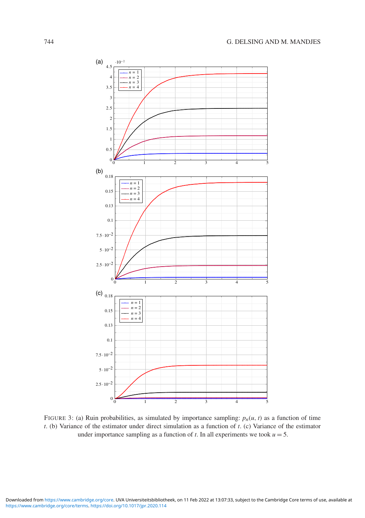<span id="page-24-0"></span>

FIGURE 3: (a) Ruin probabilities, as simulated by importance sampling:  $p_n(u, t)$  as a function of time *t*. (b) Variance of the estimator under direct simulation as a function of *t*. (c) Variance of the estimator under importance sampling as a function of  $t$ . In all experiments we took  $u = 5$ .